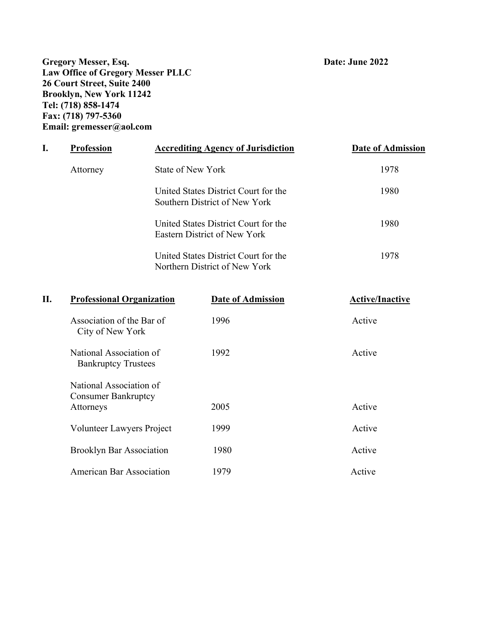**Gregory Messer, Esq. Date: June 2022 Law Office of Gregory Messer PLLC 26 Court Street, Suite 2400 Brooklyn, New York 11242 Tel: (718) 858-1474 Fax: (718) 797-5360 Email: gremesser@aol.com** 

| <b>Profession</b> | <b>Accrediting Agency of Jurisdiction</b>                             | <b>Date of Admission</b> |  |
|-------------------|-----------------------------------------------------------------------|--------------------------|--|
| Attorney          | State of New York                                                     | 1978                     |  |
|                   | United States District Court for the<br>Southern District of New York | 1980                     |  |
|                   | United States District Court for the<br>Eastern District of New York  | 1980                     |  |
|                   | United States District Court for the<br>Northern District of New York | 1978                     |  |
|                   |                                                                       |                          |  |

| II. | <b>Professional Organization</b>                                   | <b>Date of Admission</b> | <b>Active/Inactive</b> |
|-----|--------------------------------------------------------------------|--------------------------|------------------------|
|     | Association of the Bar of<br>City of New York                      | 1996                     | Active                 |
|     | National Association of<br><b>Bankruptcy Trustees</b>              | 1992                     | Active                 |
|     | National Association of<br><b>Consumer Bankruptcy</b><br>Attorneys | 2005                     | Active                 |
|     | Volunteer Lawyers Project                                          | 1999                     | Active                 |
|     | <b>Brooklyn Bar Association</b>                                    | 1980                     | Active                 |
|     | <b>American Bar Association</b>                                    | 1979                     | Active                 |